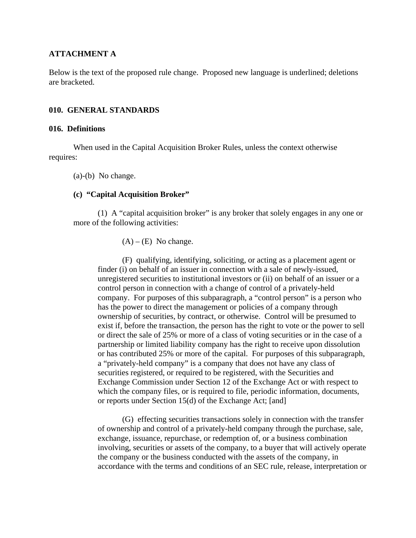### **ATTACHMENT A**

Below is the text of the proposed rule change. Proposed new language is underlined; deletions are bracketed.

#### **010. GENERAL STANDARDS**

#### **016. Definitions**

When used in the Capital Acquisition Broker Rules, unless the context otherwise requires:

(a)-(b) No change.

#### **(c) "Capital Acquisition Broker"**

(1) A "capital acquisition broker" is any broker that solely engages in any one or more of the following activities:

#### $(A) - (E)$  No change.

(F) qualifying, identifying, soliciting, or acting as a placement agent or finder (i) on behalf of an issuer in connection with a sale of newly-issued, unregistered securities to institutional investors or (ii) on behalf of an issuer or a control person in connection with a change of control of a privately-held company. For purposes of this subparagraph, a "control person" is a person who has the power to direct the management or policies of a company through ownership of securities, by contract, or otherwise. Control will be presumed to exist if, before the transaction, the person has the right to vote or the power to sell or direct the sale of 25% or more of a class of voting securities or in the case of a partnership or limited liability company has the right to receive upon dissolution or has contributed 25% or more of the capital. For purposes of this subparagraph, a "privately-held company" is a company that does not have any class of securities registered, or required to be registered, with the Securities and Exchange Commission under Section 12 of the Exchange Act or with respect to which the company files, or is required to file, periodic information, documents, or reports under Section 15(d) of the Exchange Act; [and]

(G) effecting securities transactions solely in connection with the transfer of ownership and control of a privately-held company through the purchase, sale, exchange, issuance, repurchase, or redemption of, or a business combination involving, securities or assets of the company, to a buyer that will actively operate the company or the business conducted with the assets of the company, in accordance with the terms and conditions of an SEC rule, release, interpretation or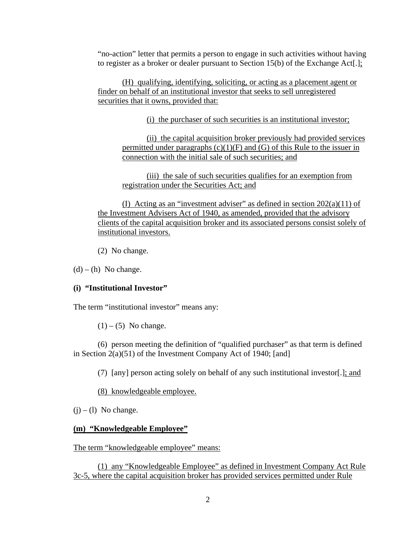"no-action" letter that permits a person to engage in such activities without having to register as a broker or dealer pursuant to Section 15(b) of the Exchange Act[.];

(H) qualifying, identifying, soliciting, or acting as a placement agent or finder on behalf of an institutional investor that seeks to sell unregistered securities that it owns, provided that:

(i) the purchaser of such securities is an institutional investor;

(ii) the capital acquisition broker previously had provided services permitted under paragraphs  $(c)(1)(F)$  and  $(G)$  of this Rule to the issuer in connection with the initial sale of such securities; and

(iii) the sale of such securities qualifies for an exemption from registration under the Securities Act; and

(I) Acting as an "investment adviser" as defined in section  $202(a)(11)$  of the Investment Advisers Act of 1940, as amended, provided that the advisory clients of the capital acquisition broker and its associated persons consist solely of institutional investors.

(2) No change.

 $(d) - (h)$  No change.

### **(i) "Institutional Investor"**

The term "institutional investor" means any:

 $(1) - (5)$  No change.

(6) person meeting the definition of "qualified purchaser" as that term is defined in Section 2(a)(51) of the Investment Company Act of 1940; [and]

(7) [any] person acting solely on behalf of any such institutional investor[.]; and

(8) knowledgeable employee.

 $(i) - (1)$  No change.

### **(m) "Knowledgeable Employee"**

The term "knowledgeable employee" means:

(1) any "Knowledgeable Employee" as defined in Investment Company Act Rule 3c-5, where the capital acquisition broker has provided services permitted under Rule